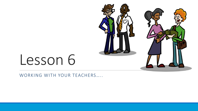

# Lesson 6

WORKING WITH YOUR TEACHERS.....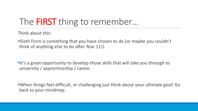# The **FIRST** thing to remember...

Think about this:

**Sixth Form is something that you have chosen to do (or maybe you couldn't** think of anything else to do after Year 11!).

**It's a great opportunity to develop those skills that will take you through to** university / apprenticeship / career.

■When things feel difficult, or challenging just think about your ultimate goal! Go back to your mindmap.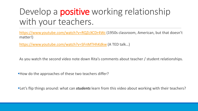### Develop a **positive** working relationship with your teachers.

<https://www.youtube.com/watch?v=RQZcXCDr4Wc> (1950s classroom, American, but that doesn't matter!)

<https://www.youtube.com/watch?v=SFnMTHhKdkw> (A TED talk…)

As you watch the second video note down Rita's comments about teacher / student relationships.

■How do the approaches of these two teachers differ?

■Let's flip things around: what can *students* learn from this video about working with their teachers?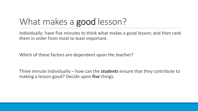## What makes a **good** lesson?

Individually: have five minutes to think what makes a good lesson; and then rank them in order from most to least important.

Which of these factors are dependent upon the teacher?

Three minute individually – how can the *students* ensure that they contribute to making a lesson good? Decide upon **five** things.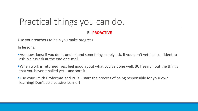### Practical things you can do.

#### Be **PROACTIVE**

Use your teachers to help you make progress

In lessons:

- **Ask questions; if you don't understand something simply ask. If you don't yet feel confident to** ask in class ask at the end or e-mail.
- ■When work is returned, yes, feel good about what you've done well. BUT search out the things that you haven't nailed yet – and sort it!
- **Use your Smith Proformas and PLCs start the process of being responsible for your own** learning! Don't be a passive learner!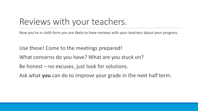#### Reviews with your teachers.

Now you're in sixth form you are likely to have reviews with your teachers about your progress.

Use these! Come to the meetings prepared!

What concerns do you have? What are you stuck on?

Be honest – no excuses, just look for solutions.

Ask what **you** can do to improve your grade in the next half term.